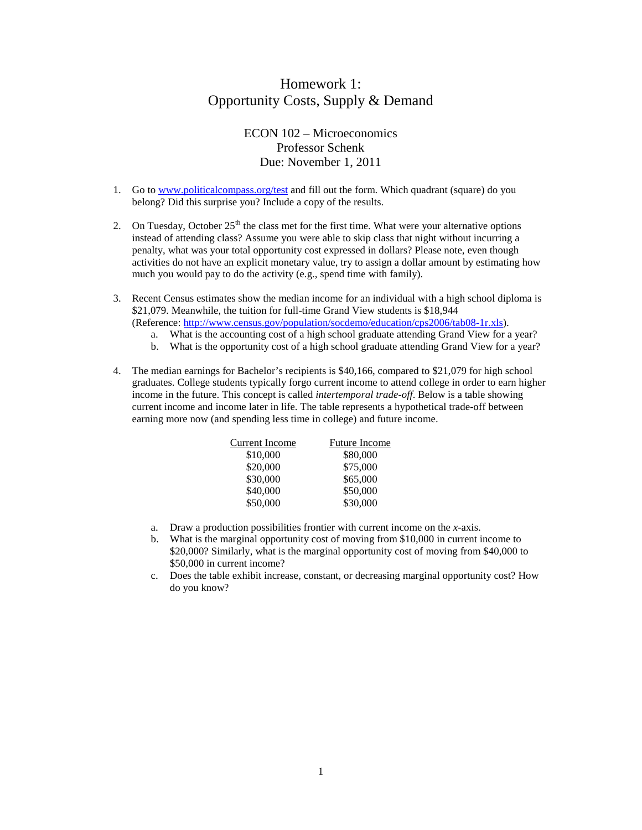## Homework 1: Opportunity Costs, Supply & Demand

## ECON 102 – Microeconomics Professor Schenk Due: November 1, 2011

- 1. Go to [www.politicalcompass.org/test](http://www.politicalcompass.org/test) and fill out the form. Which quadrant (square) do you belong? Did this surprise you? Include a copy of the results.
- 2. On Tuesday, October  $25<sup>th</sup>$  the class met for the first time. What were your alternative options instead of attending class? Assume you were able to skip class that night without incurring a penalty, what was your total opportunity cost expressed in dollars? Please note, even though activities do not have an explicit monetary value, try to assign a dollar amount by estimating how much you would pay to do the activity (e.g., spend time with family).
- 3. Recent Census estimates show the median income for an individual with a high school diploma is \$21,079. Meanwhile, the tuition for full-time Grand View students is \$18,944 (Reference: [http://www.census.gov/population/socdemo/education/cps2006/tab08-1r.xls\)](http://www.census.gov/population/socdemo/education/cps2006/tab08-1r.xls).
	- a. What is the accounting cost of a high school graduate attending Grand View for a year?
	- b. What is the opportunity cost of a high school graduate attending Grand View for a year?
- 4. The median earnings for Bachelor's recipients is \$40,166, compared to \$21,079 for high school graduates. College students typically forgo current income to attend college in order to earn higher income in the future. This concept is called *intertemporal trade-off*. Below is a table showing current income and income later in life. The table represents a hypothetical trade-off between earning more now (and spending less time in college) and future income.

| Current Income | <b>Future Income</b> |
|----------------|----------------------|
| \$10,000       | \$80,000             |
| \$20,000       | \$75,000             |
| \$30,000       | \$65,000             |
| \$40,000       | \$50,000             |
| \$50,000       | \$30,000             |

- a. Draw a production possibilities frontier with current income on the *x*-axis.
- b. What is the marginal opportunity cost of moving from \$10,000 in current income to \$20,000? Similarly, what is the marginal opportunity cost of moving from \$40,000 to \$50,000 in current income?
- c. Does the table exhibit increase, constant, or decreasing marginal opportunity cost? How do you know?